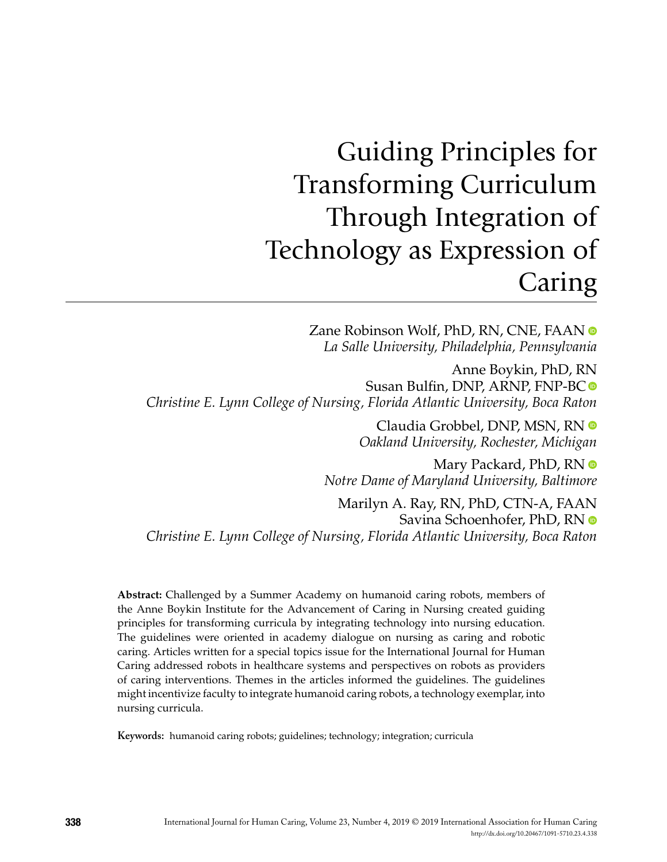## Guiding Principles for Transforming Curriculum Through Integration of Technology as Expression of Caring

Zane Robinson Wolf, PhD, RN, CNE, FAAN  $\bullet$ *La Salle University, Philadelphia, Pennsylvania*

Anne Boykin, PhD, RN Susan Bulfin, DNP, ARNP, FNP-BC *Christine E. Lynn College of Nursing, Florida Atlantic University, Boca Raton*

> Claudia Grobbel, DNP, MSN, RN *Oakland University, Rochester, Michigan*

Mary Packard, PhD, RN  $\bullet$ *Notre Dame of Maryland University, Baltimore*

Marilyn A. Ray, RN, PhD, CTN-A, FAAN Savina Schoenhofer, PhD, RN *Christine E. Lynn College of Nursing, Florida Atlantic University, Boca Raton*

**Abstract:** Challenged by a Summer Academy on humanoid caring robots, members of the Anne Boykin Institute for the Advancement of Caring in Nursing created guiding principles for transforming curricula by integrating technology into nursing education. The guidelines were oriented in academy dialogue on nursing as caring and robotic caring. Articles written for a special topics issue for the International Journal for Human Caring addressed robots in healthcare systems and perspectives on robots as providers of caring interventions. Themes in the articles informed the guidelines. The guidelines might incentivize faculty to integrate humanoid caring robots, a technology exemplar, into nursing curricula.

**Keywords:** humanoid caring robots; guidelines; technology; integration; curricula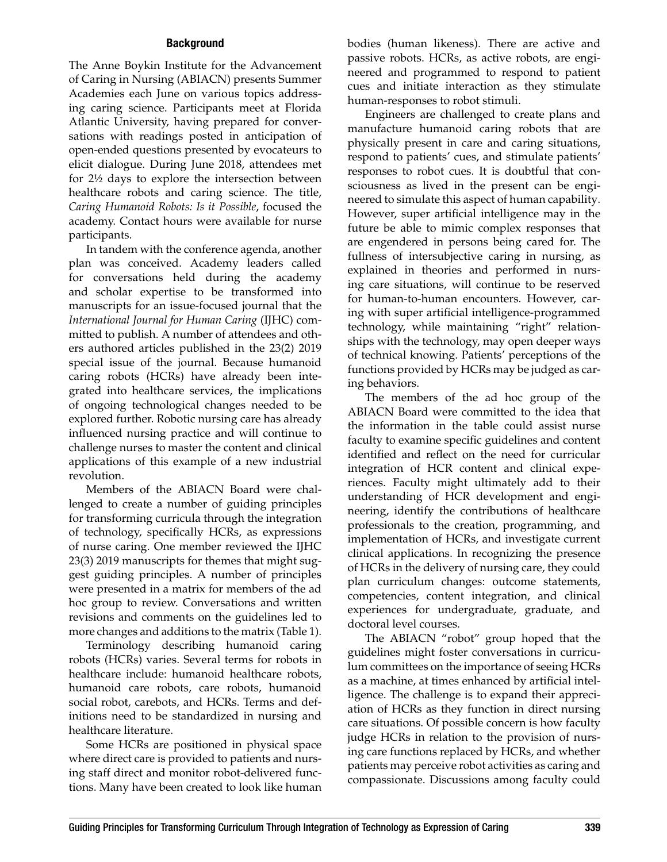## **Background**

The Anne Boykin Institute for the Advancement of Caring in Nursing (ABIACN) presents Summer Academies each June on various topics addressing caring science. Participants meet at Florida Atlantic University, having prepared for conversations with readings posted in anticipation of open-ended questions presented by evocateurs to elicit dialogue. During June 2018, attendees met for 2½ days to explore the intersection between healthcare robots and caring science. The title, *Caring Humanoid Robots: Is it Possible*, focused the academy. Contact hours were available for nurse participants.

In tandem with the conference agenda, another plan was conceived. Academy leaders called for conversations held during the academy and scholar expertise to be transformed into manuscripts for an issue-focused journal that the *International Journal for Human Caring* (IJHC) committed to publish. A number of attendees and others authored articles published in the 23(2) 2019 special issue of the journal. Because humanoid caring robots (HCRs) have already been integrated into healthcare services, the implications of ongoing technological changes needed to be explored further. Robotic nursing care has already influenced nursing practice and will continue to challenge nurses to master the content and clinical applications of this example of a new industrial revolution.

Members of the ABIACN Board were challenged to create a number of guiding principles for transforming curricula through the integration of technology, specifically HCRs, as expressions of nurse caring. One member reviewed the IJHC 23(3) 2019 manuscripts for themes that might suggest guiding principles. A number of principles were presented in a matrix for members of the ad hoc group to review. Conversations and written revisions and comments on the guidelines led to more changes and additions to the matrix (Table 1).

Terminology describing humanoid caring robots (HCRs) varies. Several terms for robots in healthcare include: humanoid healthcare robots, humanoid care robots, care robots, humanoid social robot, carebots, and HCRs. Terms and definitions need to be standardized in nursing and healthcare literature.

Some HCRs are positioned in physical space where direct care is provided to patients and nursing staff direct and monitor robot-delivered functions. Many have been created to look like human

bodies (human likeness). There are active and passive robots. HCRs, as active robots, are engineered and programmed to respond to patient cues and initiate interaction as they stimulate human-responses to robot stimuli.

Engineers are challenged to create plans and manufacture humanoid caring robots that are physically present in care and caring situations, respond to patients' cues, and stimulate patients' responses to robot cues. It is doubtful that consciousness as lived in the present can be engineered to simulate this aspect of human capability. However, super artificial intelligence may in the future be able to mimic complex responses that are engendered in persons being cared for. The fullness of intersubjective caring in nursing, as explained in theories and performed in nursing care situations, will continue to be reserved for human-to-human encounters. However, caring with super artificial intelligence-programmed technology, while maintaining "right" relationships with the technology, may open deeper ways of technical knowing. Patients' perceptions of the functions provided by HCRs may be judged as caring behaviors.

The members of the ad hoc group of the ABIACN Board were committed to the idea that the information in the table could assist nurse faculty to examine specific guidelines and content identified and reflect on the need for curricular integration of HCR content and clinical experiences. Faculty might ultimately add to their understanding of HCR development and engineering, identify the contributions of healthcare professionals to the creation, programming, and implementation of HCRs, and investigate current clinical applications. In recognizing the presence of HCRs in the delivery of nursing care, they could plan curriculum changes: outcome statements, competencies, content integration, and clinical experiences for undergraduate, graduate, and doctoral level courses.

The ABIACN "robot" group hoped that the guidelines might foster conversations in curriculum committees on the importance of seeing HCRs as a machine, at times enhanced by artificial intelligence. The challenge is to expand their appreciation of HCRs as they function in direct nursing care situations. Of possible concern is how faculty judge HCRs in relation to the provision of nursing care functions replaced by HCRs, and whether patients may perceive robot activities as caring and compassionate. Discussions among faculty could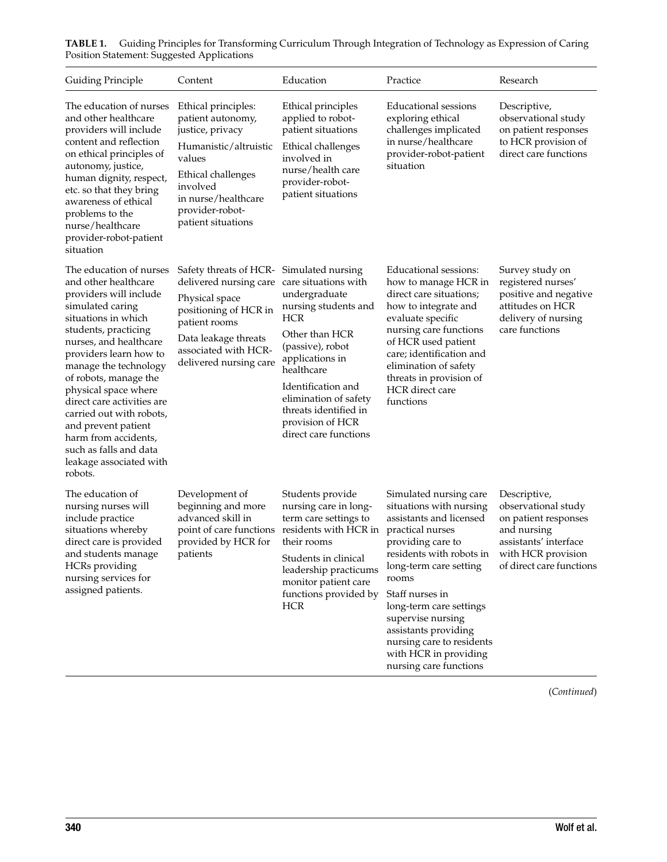| Guiding Principle                                                                                                                                                                                                                                                                                                                                                                                                                                   | Content                                                                                                                                                                                           | Education                                                                                                                                                                                                                                                                                    | Practice                                                                                                                                                                                                                                                                                                                                                        | Research                                                                                                                                              |
|-----------------------------------------------------------------------------------------------------------------------------------------------------------------------------------------------------------------------------------------------------------------------------------------------------------------------------------------------------------------------------------------------------------------------------------------------------|---------------------------------------------------------------------------------------------------------------------------------------------------------------------------------------------------|----------------------------------------------------------------------------------------------------------------------------------------------------------------------------------------------------------------------------------------------------------------------------------------------|-----------------------------------------------------------------------------------------------------------------------------------------------------------------------------------------------------------------------------------------------------------------------------------------------------------------------------------------------------------------|-------------------------------------------------------------------------------------------------------------------------------------------------------|
| The education of nurses<br>and other healthcare<br>providers will include<br>content and reflection<br>on ethical principles of<br>autonomy, justice,<br>human dignity, respect,<br>etc. so that they bring<br>awareness of ethical<br>problems to the<br>nurse/healthcare<br>provider-robot-patient<br>situation                                                                                                                                   | Ethical principles:<br>patient autonomy,<br>justice, privacy<br>Humanistic/altruistic<br>values<br>Ethical challenges<br>involved<br>in nurse/healthcare<br>provider-robot-<br>patient situations | Ethical principles<br>applied to robot-<br>patient situations<br>Ethical challenges<br>involved in<br>nurse/health care<br>provider-robot-<br>patient situations                                                                                                                             | Educational sessions<br>exploring ethical<br>challenges implicated<br>in nurse/healthcare<br>provider-robot-patient<br>situation                                                                                                                                                                                                                                | Descriptive,<br>observational study<br>on patient responses<br>to HCR provision of<br>direct care functions                                           |
| The education of nurses<br>and other healthcare<br>providers will include<br>simulated caring<br>situations in which<br>students, practicing<br>nurses, and healthcare<br>providers learn how to<br>manage the technology<br>of robots, manage the<br>physical space where<br>direct care activities are<br>carried out with robots,<br>and prevent patient<br>harm from accidents,<br>such as falls and data<br>leakage associated with<br>robots. | Safety threats of HCR-<br>delivered nursing care<br>Physical space<br>positioning of HCR in<br>patient rooms<br>Data leakage threats<br>associated with HCR-<br>delivered nursing care            | Simulated nursing<br>care situations with<br>undergraduate<br>nursing students and<br><b>HCR</b><br>Other than HCR<br>(passive), robot<br>applications in<br>healthcare<br>Identification and<br>elimination of safety<br>threats identified in<br>provision of HCR<br>direct care functions | Educational sessions:<br>how to manage HCR in<br>direct care situations;<br>how to integrate and<br>evaluate specific<br>nursing care functions<br>of HCR used patient<br>care; identification and<br>elimination of safety<br>threats in provision of<br>HCR direct care<br>functions                                                                          | Survey study on<br>registered nurses'<br>positive and negative<br>attitudes on HCR<br>delivery of nursing<br>care functions                           |
| The education of<br>nursing nurses will<br>include practice<br>situations whereby<br>direct care is provided<br>and students manage<br>HCRs providing<br>nursing services for<br>assigned patients.                                                                                                                                                                                                                                                 | Development of<br>beginning and more<br>advanced skill in<br>point of care functions<br>provided by HCR for<br>patients                                                                           | Students provide<br>nursing care in long-<br>term care settings to<br>residents with HCR in<br>their rooms<br>Students in clinical<br>leadership practicums<br>monitor patient care<br>functions provided by<br><b>HCR</b>                                                                   | Simulated nursing care<br>situations with nursing<br>assistants and licensed<br>practical nurses<br>providing care to<br>residents with robots in<br>long-term care setting<br>rooms<br>Staff nurses in<br>long-term care settings<br>supervise nursing<br>assistants providing<br>nursing care to residents<br>with HCR in providing<br>nursing care functions | Descriptive,<br>observational study<br>on patient responses<br>and nursing<br>assistants' interface<br>with HCR provision<br>of direct care functions |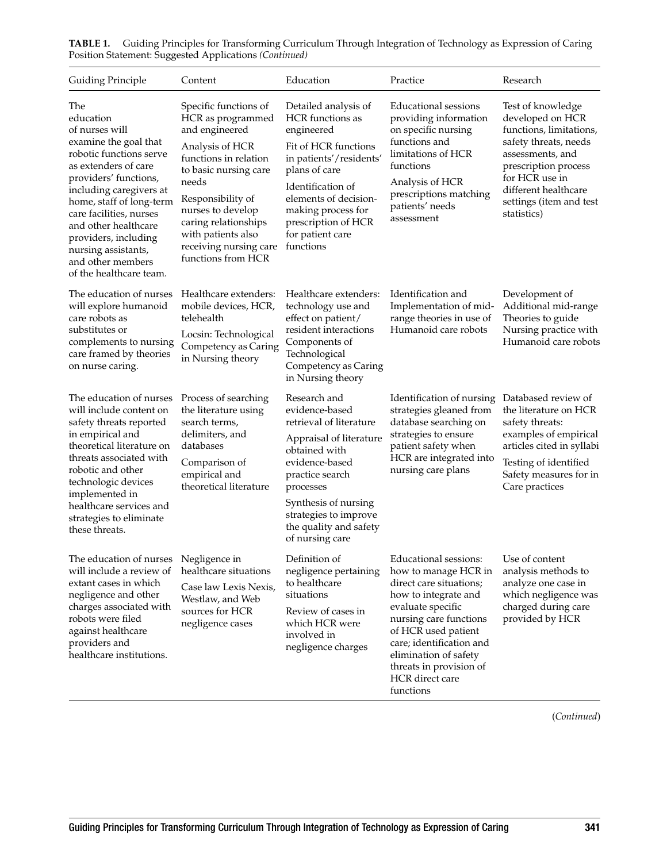| <b>Guiding Principle</b>                                                                                                                                                                                                                                                                                                                         | Content                                                                                                                                                                                                                                                                            | Education                                                                                                                                                                                                                                              | Practice                                                                                                                                                                                                                                                                               | Research                                                                                                                                                                                                                  |
|--------------------------------------------------------------------------------------------------------------------------------------------------------------------------------------------------------------------------------------------------------------------------------------------------------------------------------------------------|------------------------------------------------------------------------------------------------------------------------------------------------------------------------------------------------------------------------------------------------------------------------------------|--------------------------------------------------------------------------------------------------------------------------------------------------------------------------------------------------------------------------------------------------------|----------------------------------------------------------------------------------------------------------------------------------------------------------------------------------------------------------------------------------------------------------------------------------------|---------------------------------------------------------------------------------------------------------------------------------------------------------------------------------------------------------------------------|
| The<br>education<br>of nurses will<br>examine the goal that<br>robotic functions serve<br>as extenders of care<br>providers' functions,<br>including caregivers at<br>home, staff of long-term<br>care facilities, nurses<br>and other healthcare<br>providers, including<br>nursing assistants,<br>and other members<br>of the healthcare team. | Specific functions of<br>HCR as programmed<br>and engineered<br>Analysis of HCR<br>functions in relation<br>to basic nursing care<br>needs<br>Responsibility of<br>nurses to develop<br>caring relationships<br>with patients also<br>receiving nursing care<br>functions from HCR | Detailed analysis of<br>HCR functions as<br>engineered<br>Fit of HCR functions<br>in patients'/residents'<br>plans of care<br>Identification of<br>elements of decision-<br>making process for<br>prescription of HCR<br>for patient care<br>functions | Educational sessions<br>providing information<br>on specific nursing<br>functions and<br>limitations of HCR<br>functions<br>Analysis of HCR<br>prescriptions matching<br>patients' needs<br>assessment                                                                                 | Test of knowledge<br>developed on HCR<br>functions, limitations,<br>safety threats, needs<br>assessments, and<br>prescription process<br>for HCR use in<br>different healthcare<br>settings (item and test<br>statistics) |
| The education of nurses<br>will explore humanoid<br>care robots as<br>substitutes or<br>complements to nursing<br>care framed by theories<br>on nurse caring.                                                                                                                                                                                    | Healthcare extenders:<br>mobile devices, HCR,<br>telehealth<br>Locsin: Technological<br>Competency as Caring<br>in Nursing theory                                                                                                                                                  | Healthcare extenders:<br>technology use and<br>effect on patient/<br>resident interactions<br>Components of<br>Technological<br>Competency as Caring<br>in Nursing theory                                                                              | Identification and<br>Implementation of mid-<br>range theories in use of<br>Humanoid care robots                                                                                                                                                                                       | Development of<br>Additional mid-range<br>Theories to guide<br>Nursing practice with<br>Humanoid care robots                                                                                                              |
| The education of nurses<br>will include content on<br>safety threats reported<br>in empirical and<br>theoretical literature on<br>threats associated with<br>robotic and other<br>technologic devices<br>implemented in<br>healthcare services and<br>strategies to eliminate<br>these threats.                                                  | Process of searching<br>the literature using<br>search terms,<br>delimiters, and<br>databases<br>Comparison of<br>empirical and<br>theoretical literature                                                                                                                          | Research and<br>evidence-based<br>retrieval of literature<br>Appraisal of literature<br>obtained with<br>evidence-based<br>practice search<br>processes<br>Synthesis of nursing<br>strategies to improve<br>the quality and safety<br>of nursing care  | Identification of nursing<br>strategies gleaned from<br>database searching on<br>strategies to ensure<br>patient safety when<br>HCR are integrated into<br>nursing care plans                                                                                                          | Databased review of<br>the literature on HCR<br>safety threats:<br>examples of empirical<br>articles cited in syllabi<br>Testing of identified<br>Safety measures for in<br>Care practices                                |
| The education of nurses<br>will include a review of<br>extant cases in which<br>negligence and other<br>charges associated with<br>robots were filed<br>against healthcare<br>providers and<br>healthcare institutions.                                                                                                                          | Negligence in<br>healthcare situations<br>Case law Lexis Nexis,<br>Westlaw, and Web<br>sources for HCR<br>negligence cases                                                                                                                                                         | Definition of<br>negligence pertaining<br>to healthcare<br>situations<br>Review of cases in<br>which HCR were<br>involved in<br>negligence charges                                                                                                     | Educational sessions:<br>how to manage HCR in<br>direct care situations;<br>how to integrate and<br>evaluate specific<br>nursing care functions<br>of HCR used patient<br>care; identification and<br>elimination of safety<br>threats in provision of<br>HCR direct care<br>functions | Use of content<br>analysis methods to<br>analyze one case in<br>which negligence was<br>charged during care<br>provided by HCR                                                                                            |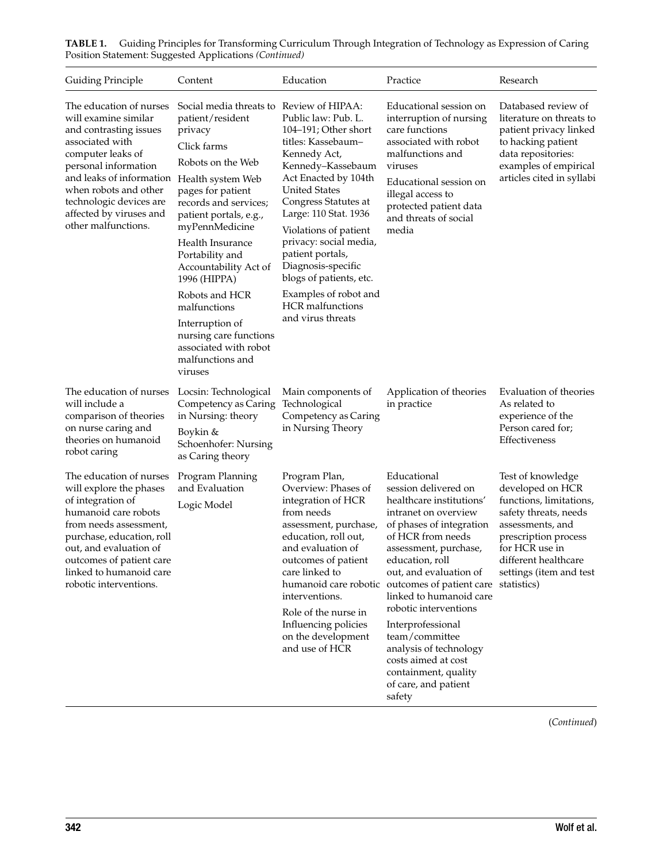| Guiding Principle                                                                                                                                                                                                                                                           | Content                                                                                                                                                                                                                                                                                                                                                                                                                          | Education                                                                                                                                                                                                                                                                                                                                                                                                                    | Practice                                                                                                                                                                                                                                                                                                                                                                                                                                                               | Research                                                                                                                                                                                                                  |
|-----------------------------------------------------------------------------------------------------------------------------------------------------------------------------------------------------------------------------------------------------------------------------|----------------------------------------------------------------------------------------------------------------------------------------------------------------------------------------------------------------------------------------------------------------------------------------------------------------------------------------------------------------------------------------------------------------------------------|------------------------------------------------------------------------------------------------------------------------------------------------------------------------------------------------------------------------------------------------------------------------------------------------------------------------------------------------------------------------------------------------------------------------------|------------------------------------------------------------------------------------------------------------------------------------------------------------------------------------------------------------------------------------------------------------------------------------------------------------------------------------------------------------------------------------------------------------------------------------------------------------------------|---------------------------------------------------------------------------------------------------------------------------------------------------------------------------------------------------------------------------|
| The education of nurses<br>will examine similar<br>and contrasting issues<br>associated with<br>computer leaks of<br>personal information<br>and leaks of information<br>when robots and other<br>technologic devices are<br>affected by viruses and<br>other malfunctions. | Social media threats to<br>patient/resident<br>privacy<br>Click farms<br>Robots on the Web<br>Health system Web<br>pages for patient<br>records and services;<br>patient portals, e.g.,<br>myPennMedicine<br>Health Insurance<br>Portability and<br>Accountability Act of<br>1996 (HIPPA)<br>Robots and HCR<br>malfunctions<br>Interruption of<br>nursing care functions<br>associated with robot<br>malfunctions and<br>viruses | Review of HIPAA:<br>Public law: Pub. L.<br>104-191; Other short<br>titles: Kassebaum-<br>Kennedy Act,<br>Kennedy-Kassebaum<br>Act Enacted by 104th<br><b>United States</b><br>Congress Statutes at<br>Large: 110 Stat. 1936<br>Violations of patient<br>privacy: social media,<br>patient portals,<br>Diagnosis-specific<br>blogs of patients, etc.<br>Examples of robot and<br><b>HCR</b> malfunctions<br>and virus threats | Educational session on<br>interruption of nursing<br>care functions<br>associated with robot<br>malfunctions and<br>viruses<br>Educational session on<br>illegal access to<br>protected patient data<br>and threats of social<br>media                                                                                                                                                                                                                                 | Databased review of<br>literature on threats to<br>patient privacy linked<br>to hacking patient<br>data repositories:<br>examples of empirical<br>articles cited in syllabi                                               |
| The education of nurses<br>will include a<br>comparison of theories<br>on nurse caring and<br>theories on humanoid<br>robot caring                                                                                                                                          | Locsin: Technological<br>Competency as Caring<br>in Nursing: theory<br>Boykin &<br>Schoenhofer: Nursing<br>as Caring theory                                                                                                                                                                                                                                                                                                      | Main components of<br>Technological<br>Competency as Caring<br>in Nursing Theory                                                                                                                                                                                                                                                                                                                                             | Application of theories<br>in practice                                                                                                                                                                                                                                                                                                                                                                                                                                 | Evaluation of theories<br>As related to<br>experience of the<br>Person cared for;<br>Effectiveness                                                                                                                        |
| The education of nurses<br>will explore the phases<br>of integration of<br>humanoid care robots<br>from needs assessment,<br>purchase, education, roll<br>out, and evaluation of<br>outcomes of patient care<br>linked to humanoid care<br>robotic interventions.           | Program Planning<br>and Evaluation<br>Logic Model                                                                                                                                                                                                                                                                                                                                                                                | Program Plan,<br>Overview: Phases of<br>integration of HCR<br>from needs<br>assessment, purchase,<br>education, roll out,<br>and evaluation of<br>outcomes of patient<br>care linked to<br>interventions.<br>Role of the nurse in<br>Influencing policies<br>on the development<br>and use of HCR                                                                                                                            | Educational<br>session delivered on<br>healthcare institutions'<br>intranet on overview<br>of phases of integration<br>of HCR from needs<br>assessment, purchase,<br>education, roll<br>out, and evaluation of<br>humanoid care robotic outcomes of patient care<br>linked to humanoid care<br>robotic interventions<br>Interprofessional<br>team/committee<br>analysis of technology<br>costs aimed at cost<br>containment, quality<br>of care, and patient<br>safety | Test of knowledge<br>developed on HCR<br>functions, limitations,<br>safety threats, needs<br>assessments, and<br>prescription process<br>for HCR use in<br>different healthcare<br>settings (item and test<br>statistics) |

**TABLE 1.** Guiding Principles for Transforming Curriculum Through Integration of Technology as Expression of Caring Position Statement: Suggested Applications *(Continued)*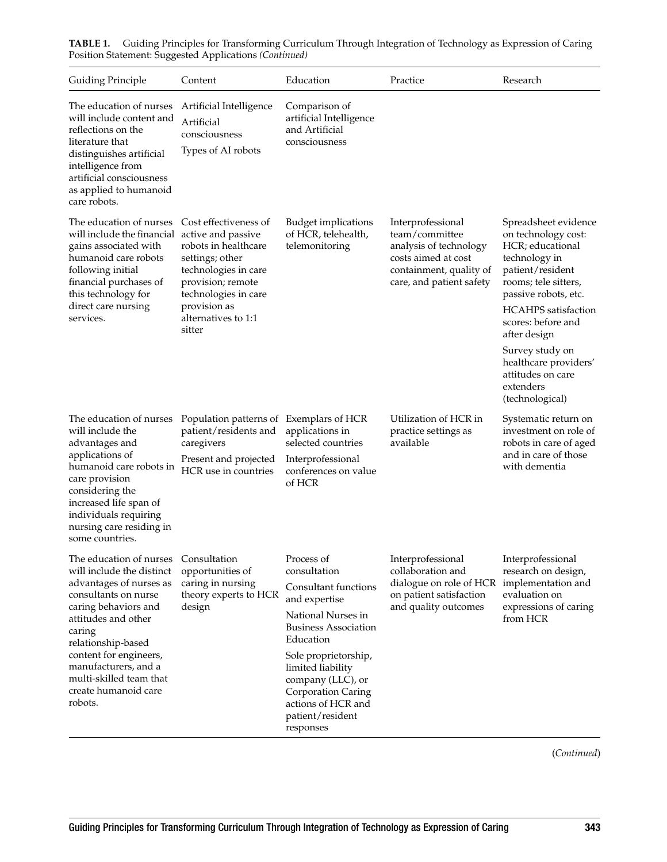| Guiding Principle                                                                                                                                                                                                                                                                                      | Content                                                                                                                                                                                                      | Education                                                                                                                                                                                                                                                                            | Practice                                                                                                                                    | Research                                                                                                                                                                                                                                                                                                                  |
|--------------------------------------------------------------------------------------------------------------------------------------------------------------------------------------------------------------------------------------------------------------------------------------------------------|--------------------------------------------------------------------------------------------------------------------------------------------------------------------------------------------------------------|--------------------------------------------------------------------------------------------------------------------------------------------------------------------------------------------------------------------------------------------------------------------------------------|---------------------------------------------------------------------------------------------------------------------------------------------|---------------------------------------------------------------------------------------------------------------------------------------------------------------------------------------------------------------------------------------------------------------------------------------------------------------------------|
| The education of nurses<br>will include content and<br>reflections on the<br>literature that<br>distinguishes artificial<br>intelligence from<br>artificial consciousness<br>as applied to humanoid<br>care robots.                                                                                    | Artificial Intelligence<br>Artificial<br>consciousness<br>Types of AI robots                                                                                                                                 | Comparison of<br>artificial Intelligence<br>and Artificial<br>consciousness                                                                                                                                                                                                          |                                                                                                                                             |                                                                                                                                                                                                                                                                                                                           |
| The education of nurses<br>will include the financial<br>gains associated with<br>humanoid care robots<br>following initial<br>financial purchases of<br>this technology for<br>direct care nursing<br>services.                                                                                       | Cost effectiveness of<br>active and passive<br>robots in healthcare<br>settings; other<br>technologies in care<br>provision; remote<br>technologies in care<br>provision as<br>alternatives to 1:1<br>sitter | <b>Budget implications</b><br>of HCR, telehealth,<br>telemonitoring                                                                                                                                                                                                                  | Interprofessional<br>team/committee<br>analysis of technology<br>costs aimed at cost<br>containment, quality of<br>care, and patient safety | Spreadsheet evidence<br>on technology cost:<br>HCR; educational<br>technology in<br>patient/resident<br>rooms; tele sitters,<br>passive robots, etc.<br><b>HCAHPS</b> satisfaction<br>scores: before and<br>after design<br>Survey study on<br>healthcare providers'<br>attitudes on care<br>extenders<br>(technological) |
| The education of nurses<br>will include the<br>advantages and<br>applications of<br>humanoid care robots in<br>care provision<br>considering the<br>increased life span of<br>individuals requiring<br>nursing care residing in<br>some countries.                                                     | Population patterns of Exemplars of HCR<br>patient/residents and<br>caregivers<br>Present and projected<br>HCR use in countries                                                                              | applications in<br>selected countries<br>Interprofessional<br>conferences on value<br>of HCR                                                                                                                                                                                         | Utilization of HCR in<br>practice settings as<br>available                                                                                  | Systematic return on<br>investment on role of<br>robots in care of aged<br>and in care of those<br>with dementia                                                                                                                                                                                                          |
| The education of nurses<br>will include the distinct<br>advantages of nurses as<br>consultants on nurse<br>caring behaviors and<br>attitudes and other<br>caring<br>relationship-based<br>content for engineers,<br>manufacturers, and a<br>multi-skilled team that<br>create humanoid care<br>robots. | Consultation<br>opportunities of<br>caring in nursing<br>theory experts to HCR<br>design                                                                                                                     | Process of<br>consultation<br>Consultant functions<br>and expertise<br>National Nurses in<br><b>Business Association</b><br>Education<br>Sole proprietorship,<br>limited liability<br>company (LLC), or<br>Corporation Caring<br>actions of HCR and<br>patient/resident<br>responses | Interprofessional<br>collaboration and<br>dialogue on role of HCR<br>on patient satisfaction<br>and quality outcomes                        | Interprofessional<br>research on design,<br>implementation and<br>evaluation on<br>expressions of caring<br>from HCR                                                                                                                                                                                                      |

**TABLE 1.** Guiding Principles for Transforming Curriculum Through Integration of Technology as Expression of Caring Position Statement: Suggested Applications *(Continued)*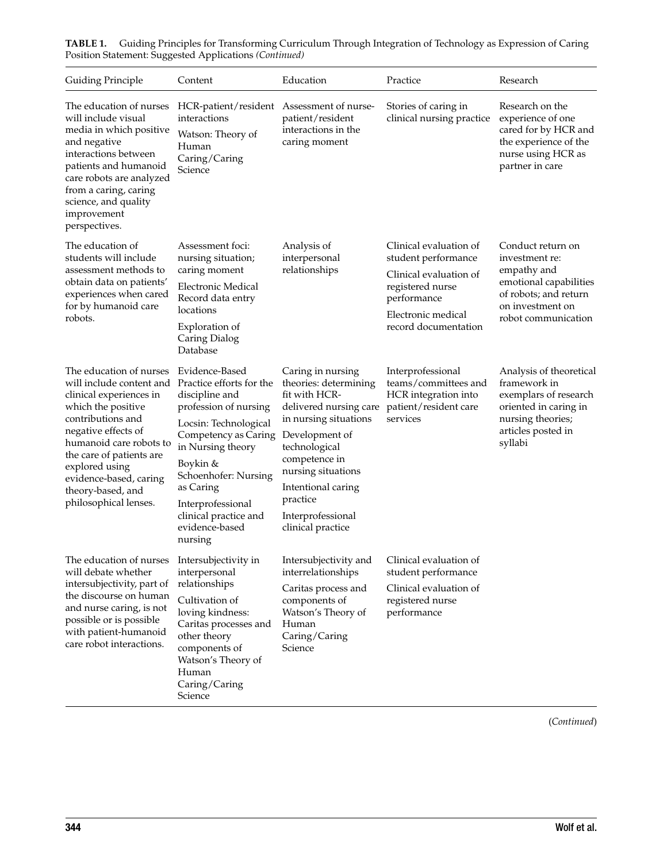| <b>Guiding Principle</b>                                                                                                                                                                                                                                                                          | Content                                                                                                                                                                                                                                                                                 | Education                                                                                                                                                                                                                                                            | Practice                                                                                                                                                 | Research                                                                                                                                         |
|---------------------------------------------------------------------------------------------------------------------------------------------------------------------------------------------------------------------------------------------------------------------------------------------------|-----------------------------------------------------------------------------------------------------------------------------------------------------------------------------------------------------------------------------------------------------------------------------------------|----------------------------------------------------------------------------------------------------------------------------------------------------------------------------------------------------------------------------------------------------------------------|----------------------------------------------------------------------------------------------------------------------------------------------------------|--------------------------------------------------------------------------------------------------------------------------------------------------|
| The education of nurses<br>will include visual<br>media in which positive<br>and negative<br>interactions between<br>patients and humanoid<br>care robots are analyzed<br>from a caring, caring<br>science, and quality<br>improvement<br>perspectives.                                           | HCR-patient/resident<br>interactions<br>Watson: Theory of<br>Human<br>Caring/Caring<br>Science                                                                                                                                                                                          | Assessment of nurse-<br>patient/resident<br>interactions in the<br>caring moment                                                                                                                                                                                     | Stories of caring in<br>clinical nursing practice                                                                                                        | Research on the<br>experience of one<br>cared for by HCR and<br>the experience of the<br>nurse using HCR as<br>partner in care                   |
| The education of<br>students will include<br>assessment methods to<br>obtain data on patients'<br>experiences when cared<br>for by humanoid care<br>robots.                                                                                                                                       | Assessment foci:<br>nursing situation;<br>caring moment<br><b>Electronic Medical</b><br>Record data entry<br>locations<br>Exploration of<br>Caring Dialog<br>Database                                                                                                                   | Analysis of<br>interpersonal<br>relationships                                                                                                                                                                                                                        | Clinical evaluation of<br>student performance<br>Clinical evaluation of<br>registered nurse<br>performance<br>Electronic medical<br>record documentation | Conduct return on<br>investment re:<br>empathy and<br>emotional capabilities<br>of robots; and return<br>on investment on<br>robot communication |
| The education of nurses<br>will include content and<br>clinical experiences in<br>which the positive<br>contributions and<br>negative effects of<br>humanoid care robots to<br>the care of patients are<br>explored using<br>evidence-based, caring<br>theory-based, and<br>philosophical lenses. | Evidence-Based<br>Practice efforts for the<br>discipline and<br>profession of nursing<br>Locsin: Technological<br>Competency as Caring<br>in Nursing theory<br>Boykin &<br>Schoenhofer: Nursing<br>as Caring<br>Interprofessional<br>clinical practice and<br>evidence-based<br>nursing | Caring in nursing<br>theories: determining<br>fit with HCR-<br>delivered nursing care<br>in nursing situations<br>Development of<br>technological<br>competence in<br>nursing situations<br>Intentional caring<br>practice<br>Interprofessional<br>clinical practice | Interprofessional<br>teams/committees and<br>HCR integration into<br>patient/resident care<br>services                                                   | Analysis of theoretical<br>framework in<br>exemplars of research<br>oriented in caring in<br>nursing theories;<br>articles posted in<br>syllabi  |
| The education of nurses<br>will debate whether<br>intersubjectivity, part of<br>the discourse on human<br>and nurse caring, is not<br>possible or is possible<br>with patient-humanoid<br>care robot interactions.                                                                                | Intersubjectivity in<br>interpersonal<br>relationships<br>Cultivation of<br>loving kindness:<br>Caritas processes and<br>other theory<br>components of<br>Watson's Theory of<br>Human<br>Caring/Caring<br>Science                                                                       | Intersubjectivity and<br>interrelationships<br>Caritas process and<br>components of<br>Watson's Theory of<br>Human<br>Caring/Caring<br>Science                                                                                                                       | Clinical evaluation of<br>student performance<br>Clinical evaluation of<br>registered nurse<br>performance                                               |                                                                                                                                                  |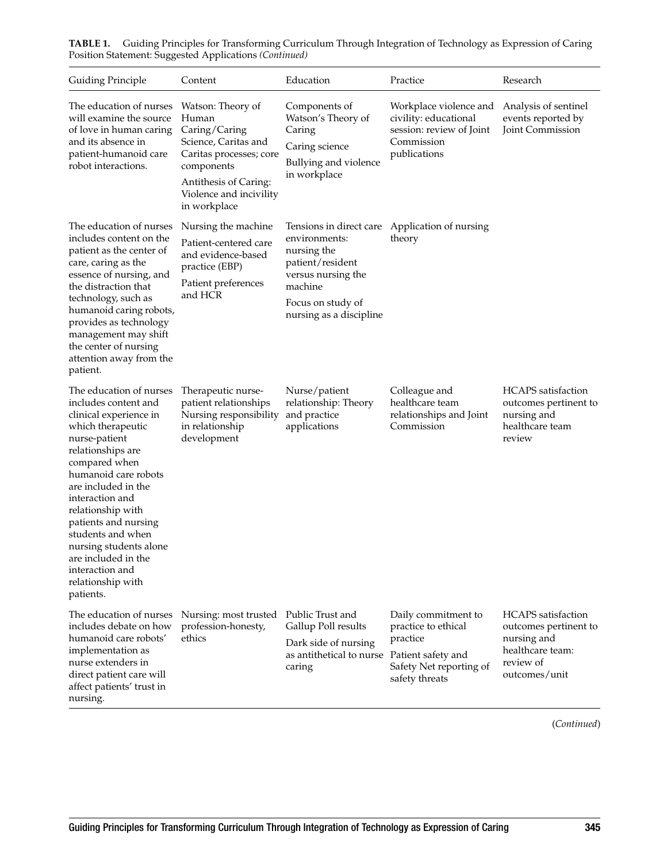| <b>Guiding Principle</b>                                                                                                                                                                                                                                                                                                                                                                        | Content                                                                                                                                                                          | Education                                                                                                                         | Practice                                                                                                  | Research                                                                                                     |
|-------------------------------------------------------------------------------------------------------------------------------------------------------------------------------------------------------------------------------------------------------------------------------------------------------------------------------------------------------------------------------------------------|----------------------------------------------------------------------------------------------------------------------------------------------------------------------------------|-----------------------------------------------------------------------------------------------------------------------------------|-----------------------------------------------------------------------------------------------------------|--------------------------------------------------------------------------------------------------------------|
| The education of nurses<br>will examine the source<br>of love in human caring<br>and its absence in<br>patient-humanoid care<br>robot interactions.                                                                                                                                                                                                                                             | Watson: Theory of<br>Human<br>Caring/Caring<br>Science, Caritas and<br>Caritas processes; core<br>components<br>Antithesis of Caring:<br>Violence and incivility<br>in workplace | Components of<br>Watson's Theory of<br>Caring<br>Caring science<br>Bullying and violence<br>in workplace                          | Workplace violence and<br>civility: educational<br>session: review of Joint<br>Commission<br>publications | Analysis of sentinel<br>events reported by<br>Joint Commission                                               |
| The education of nurses<br>includes content on the<br>patient as the center of<br>care, caring as the<br>essence of nursing, and<br>the distraction that<br>technology, such as<br>humanoid caring robots,<br>provides as technology<br>management may shift<br>the center of nursing<br>attention away from the<br>patient.                                                                    | Nursing the machine<br>Patient-centered care<br>and evidence-based<br>practice (EBP)<br>Patient preferences<br>and HCR                                                           | environments:<br>nursing the<br>patient/resident<br>versus nursing the<br>machine<br>Focus on study of<br>nursing as a discipline | Tensions in direct care Application of nursing<br>theory                                                  |                                                                                                              |
| The education of nurses<br>includes content and<br>clinical experience in<br>which therapeutic<br>nurse-patient<br>relationships are<br>compared when<br>humanoid care robots<br>are included in the<br>interaction and<br>relationship with<br>patients and nursing<br>students and when<br>nursing students alone<br>are included in the<br>interaction and<br>relationship with<br>patients. | Therapeutic nurse-<br>patient relationships<br>Nursing responsibility<br>in relationship<br>development                                                                          | Nurse/patient<br>relationship: Theory<br>and practice<br>applications                                                             | Colleague and<br>healthcare team<br>relationships and Joint<br>Commission                                 | <b>HCAPS</b> satisfaction<br>outcomes pertinent to<br>nursing and<br>healthcare team<br>review               |
| The education of nurses<br>includes debate on how<br>humanoid care robots'<br>implementation as<br>nurse extenders in<br>direct patient care will<br>affect patients' trust in<br>nursing.                                                                                                                                                                                                      | Nursing: most trusted<br>profession-honesty,<br>ethics                                                                                                                           | Public Trust and<br>Gallup Poll results<br>Dark side of nursing<br>as antithetical to nurse Patient safety and<br>caring          | Daily commitment to<br>practice to ethical<br>practice<br>Safety Net reporting of<br>safety threats       | HCAPS satisfaction<br>outcomes pertinent to<br>nursing and<br>healthcare team:<br>review of<br>outcomes/unit |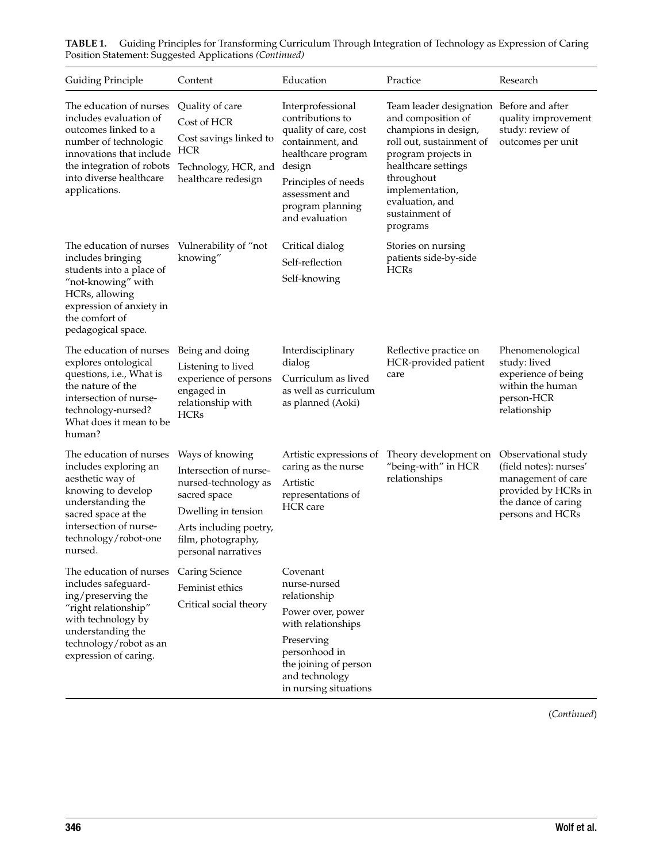| <b>Guiding Principle</b>                                                                                                                                                                                | Content                                                                                                                                                                         | Education                                                                                                                                                                                         | Practice                                                                                                                                                                                                                                           | Research                                                                                                                              |
|---------------------------------------------------------------------------------------------------------------------------------------------------------------------------------------------------------|---------------------------------------------------------------------------------------------------------------------------------------------------------------------------------|---------------------------------------------------------------------------------------------------------------------------------------------------------------------------------------------------|----------------------------------------------------------------------------------------------------------------------------------------------------------------------------------------------------------------------------------------------------|---------------------------------------------------------------------------------------------------------------------------------------|
| The education of nurses<br>includes evaluation of<br>outcomes linked to a<br>number of technologic<br>innovations that include<br>the integration of robots<br>into diverse healthcare<br>applications. | Quality of care<br>Cost of HCR<br>Cost savings linked to<br><b>HCR</b><br>Technology, HCR, and<br>healthcare redesign                                                           | Interprofessional<br>contributions to<br>quality of care, cost<br>containment, and<br>healthcare program<br>design<br>Principles of needs<br>assessment and<br>program planning<br>and evaluation | Team leader designation Before and after<br>and composition of<br>champions in design,<br>roll out, sustainment of<br>program projects in<br>healthcare settings<br>throughout<br>implementation,<br>evaluation, and<br>sustainment of<br>programs | quality improvement<br>study: review of<br>outcomes per unit                                                                          |
| The education of nurses<br>includes bringing<br>students into a place of<br>"not-knowing" with<br>HCRs, allowing<br>expression of anxiety in<br>the comfort of<br>pedagogical space.                    | Vulnerability of "not<br>knowing"                                                                                                                                               | Critical dialog<br>Self-reflection<br>Self-knowing                                                                                                                                                | Stories on nursing<br>patients side-by-side<br><b>HCRs</b>                                                                                                                                                                                         |                                                                                                                                       |
| The education of nurses<br>explores ontological<br>questions, i.e., What is<br>the nature of the<br>intersection of nurse-<br>technology-nursed?<br>What does it mean to be<br>human?                   | Being and doing<br>Listening to lived<br>experience of persons<br>engaged in<br>relationship with<br><b>HCRs</b>                                                                | Interdisciplinary<br>dialog<br>Curriculum as lived<br>as well as curriculum<br>as planned (Aoki)                                                                                                  | Reflective practice on<br>HCR-provided patient<br>care                                                                                                                                                                                             | Phenomenological<br>study: lived<br>experience of being<br>within the human<br>person-HCR<br>relationship                             |
| The education of nurses<br>includes exploring an<br>aesthetic way of<br>knowing to develop<br>understanding the<br>sacred space at the<br>intersection of nurse-<br>technology/robot-one<br>nursed.     | Ways of knowing<br>Intersection of nurse-<br>nursed-technology as<br>sacred space<br>Dwelling in tension<br>Arts including poetry,<br>film, photography,<br>personal narratives | Artistic expressions of<br>caring as the nurse<br>Artistic<br>representations of<br><b>HCR</b> care                                                                                               | Theory development on<br>"being-with" in HCR<br>relationships                                                                                                                                                                                      | Observational study<br>(field notes): nurses'<br>management of care<br>provided by HCRs in<br>the dance of caring<br>persons and HCRs |
| The education of nurses<br>includes safeguard-<br>ing/preserving the<br>"right relationship"<br>with technology by<br>understanding the<br>technology/robot as an<br>expression of caring.              | Caring Science<br>Feminist ethics<br>Critical social theory                                                                                                                     | Covenant<br>nurse-nursed<br>relationship<br>Power over, power<br>with relationships<br>Preserving<br>personhood in<br>the joining of person<br>and technology<br>in nursing situations            |                                                                                                                                                                                                                                                    |                                                                                                                                       |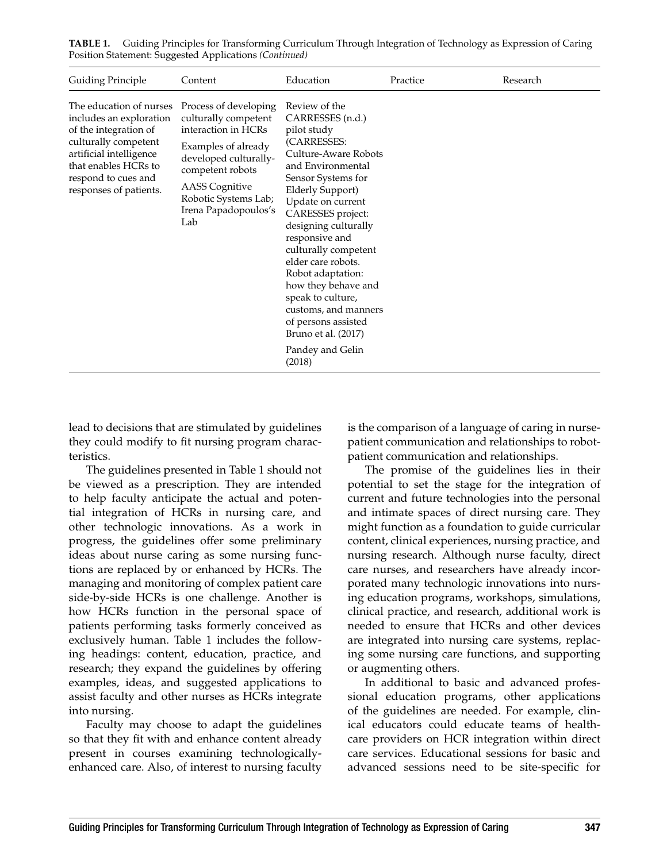| <b>Guiding Principle</b>                                                                                                                                                                                | Content                                                                                                                                                                                                                  | Education                                                                                                                                                                                                                                                                                                                                                                                                                                                            | Practice | Research |
|---------------------------------------------------------------------------------------------------------------------------------------------------------------------------------------------------------|--------------------------------------------------------------------------------------------------------------------------------------------------------------------------------------------------------------------------|----------------------------------------------------------------------------------------------------------------------------------------------------------------------------------------------------------------------------------------------------------------------------------------------------------------------------------------------------------------------------------------------------------------------------------------------------------------------|----------|----------|
| The education of nurses<br>includes an exploration<br>of the integration of<br>culturally competent<br>artificial intelligence<br>that enables HCRs to<br>respond to cues and<br>responses of patients. | Process of developing<br>culturally competent<br>interaction in HCRs<br>Examples of already<br>developed culturally-<br>competent robots<br><b>AASS</b> Cognitive<br>Robotic Systems Lab;<br>Irena Papadopoulos's<br>Lab | Review of the<br>CARRESSES (n.d.)<br>pilot study<br>(CARRESSES:<br>Culture-Aware Robots<br>and Environmental<br>Sensor Systems for<br><b>Elderly Support)</b><br>Update on current<br>CARESSES project:<br>designing culturally<br>responsive and<br>culturally competent<br>elder care robots.<br>Robot adaptation:<br>how they behave and<br>speak to culture,<br>customs, and manners<br>of persons assisted<br>Bruno et al. (2017)<br>Pandey and Gelin<br>(2018) |          |          |

**TABLE 1.** Guiding Principles for Transforming Curriculum Through Integration of Technology as Expression of Caring Position Statement: Suggested Applications *(Continued)*

lead to decisions that are stimulated by guidelines they could modify to fit nursing program characteristics.

The guidelines presented in Table 1 should not be viewed as a prescription. They are intended to help faculty anticipate the actual and potential integration of HCRs in nursing care, and other technologic innovations. As a work in progress, the guidelines offer some preliminary ideas about nurse caring as some nursing functions are replaced by or enhanced by HCRs. The managing and monitoring of complex patient care side-by-side HCRs is one challenge. Another is how HCRs function in the personal space of patients performing tasks formerly conceived as exclusively human. Table 1 includes the following headings: content, education, practice, and research; they expand the guidelines by offering examples, ideas, and suggested applications to assist faculty and other nurses as HCRs integrate into nursing.

Faculty may choose to adapt the guidelines so that they fit with and enhance content already present in courses examining technologicallyenhanced care. Also, of interest to nursing faculty is the comparison of a language of caring in nursepatient communication and relationships to robotpatient communication and relationships.

The promise of the guidelines lies in their potential to set the stage for the integration of current and future technologies into the personal and intimate spaces of direct nursing care. They might function as a foundation to guide curricular content, clinical experiences, nursing practice, and nursing research. Although nurse faculty, direct care nurses, and researchers have already incorporated many technologic innovations into nursing education programs, workshops, simulations, clinical practice, and research, additional work is needed to ensure that HCRs and other devices are integrated into nursing care systems, replacing some nursing care functions, and supporting or augmenting others.

In additional to basic and advanced professional education programs, other applications of the guidelines are needed. For example, clinical educators could educate teams of healthcare providers on HCR integration within direct care services. Educational sessions for basic and advanced sessions need to be site-specific for